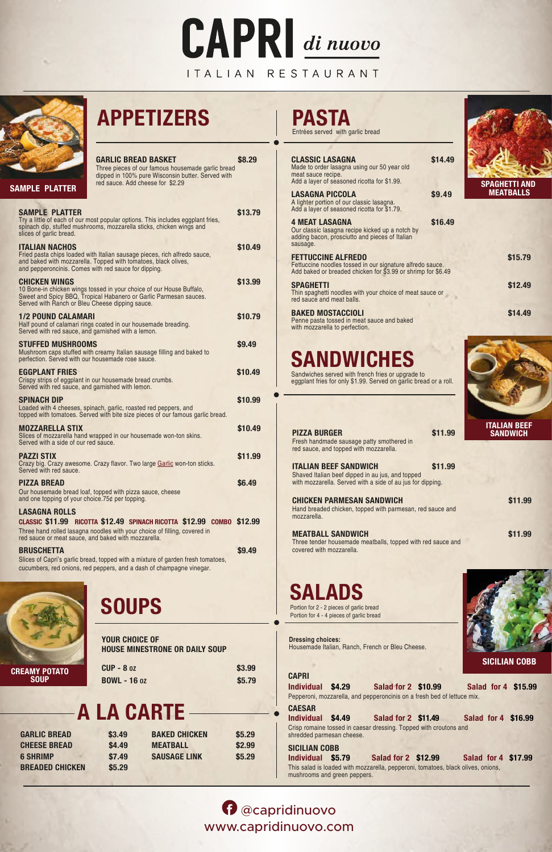# **CAPRI di nuovo**

# ITALIAN RESTAURANT



# **APPETIZERS PASTA**

**SALADS SOUPS**

| <b>GARLIC BREAD BASKET</b><br>Three pieces of our famous housemade garlic bread<br>dipped in 100% pure Wisconsin butter. Served with<br>red sauce. Add cheese for \$2.29<br><b>SAMPLE PLATTER</b>                                 | \$8.29  |
|-----------------------------------------------------------------------------------------------------------------------------------------------------------------------------------------------------------------------------------|---------|
| <b>SAMPLE PLATTER</b><br>Try a little of each of our most popular options. This includes eggplant fries,<br>spinach dip, stuffed mushrooms, mozzarella sticks, chicken wings and<br>slices of garlic bread.                       | \$13.79 |
| <b>ITALIAN NACHOS</b><br>Fried pasta chips loaded with Italian sausage pieces, rich alfredo sauce,<br>and baked with mozzarella. Topped with tomatoes, black olives,<br>and pepperoncinis. Comes with red sauce for dipping.      | \$10.49 |
| <b>CHICKEN WINGS</b><br>10 Bone-in chicken wings tossed in your choice of our House Buffalo,<br>Sweet and Spicy BBQ, Tropical Habanero or Garlic Parmesan sauces.<br>Served with Ranch or Bleu Cheese dipping sauce.              | \$13.99 |
| <b>1/2 POUND CALAMARI</b><br>Half pound of calamari rings coated in our housemade breading.<br>Served with red sauce, and garnished with a lemon.                                                                                 | \$10.79 |
| <b>STUFFED MUSHROOMS</b><br>Mushroom caps stuffed with creamy Italian sausage filling and baked to<br>perfection. Served with our housemade rose sauce.                                                                           | \$9.49  |
| <b>EGGPLANT FRIES</b><br>Crispy strips of eggplant in our housemade bread crumbs.<br>Served with red sauce, and garnished with lemon.                                                                                             | \$10.49 |
| <b>SPINACH DIP</b><br>Loaded with 4 cheeses, spinach, garlic, roasted red peppers, and<br>topped with tomatoes. Served with bite size pieces of our famous garlic bread.                                                          | \$10.99 |
| <b>MOZZARELLA STIX</b><br>Slices of mozzarella hand wrapped in our housemade won-ton skins.<br>Served with a side of our red sauce.                                                                                               | \$10.49 |
| <b>PAZZI STIX</b><br>Crazy big. Crazy awesome. Crazy flavor. Two large Garlic won-ton sticks.<br>Served with red sauce.                                                                                                           | \$11.99 |
| <b>PIZZA BREAD</b><br>Our housemade bread loaf, topped with pizza sauce, cheese<br>and one topping of your choice.75¢ per topping.                                                                                                | \$6.49  |
| <b>LASAGNA ROLLS</b><br>CLASSIC \$11.99 RICOTTA \$12.49 SPINACH RICOTTA \$12.99 COMBO \$12.99<br>Three hand rolled lasagna noodles with your choice of filling, covered in<br>red sauce or meat sauce, and baked with mozzarella. |         |
| <b>BRUSCHETTA</b><br>Slices of Capri's garlic bread, topped with a mixture of garden fresh tomatoes,<br>cucumbers, red onions, red peppers, and a dash of champagne vinegar.                                                      | \$9.49  |

| <b>CLASSIC LASAGNA</b><br>Made to order lasagna using our 50 year old                                                                                  | \$14.49 |                                        |
|--------------------------------------------------------------------------------------------------------------------------------------------------------|---------|----------------------------------------|
| meat sauce recipe.<br>Add a layer of seasoned ricotta for \$1.99.                                                                                      |         | <b>SPAGHETTI AND</b>                   |
| <b>LASAGNA PICCOLA</b><br>A lighter portion of our classic lasagna.<br>Add a layer of seasoned ricotta for \$1.79.                                     | \$9.49  | <b>MEATBALLS</b>                       |
| <b>4 MEAT LASAGNA</b><br>Our classic lasagna recipe kicked up a notch by<br>adding bacon, prosciutto and pieces of Italian<br>sausage.                 | \$16.49 |                                        |
| <b>FETTUCCINE ALFREDO</b><br>Fettuccine noodles tossed in our signature alfredo sauce.<br>Add baked or breaded chicken for \$3.99 or shrimp for \$6.49 |         | \$15.79                                |
| <b>SPAGHETTI</b><br>Thin spaghetti noodles with your choice of meat sauce or<br>red sauce and meat balls.                                              |         | \$12.49                                |
| <b>BAKED MOSTACCIOLI</b><br>Penne pasta tossed in meat sauce and baked<br>with mozzarella to perfection.                                               |         | \$14.49                                |
|                                                                                                                                                        |         |                                        |
| <b>SANDWICHES</b>                                                                                                                                      |         |                                        |
| Sandwiches served with french fries or upgrade to<br>eggplant fries for only \$1.99. Served on garlic bread or a roll.                                 |         |                                        |
|                                                                                                                                                        |         |                                        |
| <b>PIZZA BURGER</b><br>Fresh handmade sausage patty smothered in<br>red sauce, and topped with mozzarella.                                             | \$11.99 | <b>ITALIAN BEEF</b><br><b>SANDWICH</b> |
| <b>ITALIAN BEEF SANDWICH</b><br>Shaved Italian beef dipped in au jus, and topped<br>with mozzarella. Served with a side of au jus for dipping.         | \$11.99 |                                        |
| <b>CHICKEN PARMESAN SANDWICH</b><br>Hand breaded chicken, topped with parmesan, red sauce and<br>mozzarella.                                           |         | \$11.99                                |
| <b>MEATBALL SANDWICH</b><br>Three tender housemade meatballs, topped with red sauce and<br>covered with mozzarella.                                    |         | \$11.99                                |
|                                                                                                                                                        |         |                                        |
|                                                                                                                                                        |         |                                        |

Entrées served with garlic bread

Portion for 2 - 2 pieces of garlic bread Portion for 4 - 4 pieces of garlic bread



| <b>YOUR CHOICE OF</b><br><b>HOUSE MINESTRONE OR DAILY SOUP</b><br><b>CUP - 8 oz</b><br><b>EAMY POTATO</b><br><b>SOUP</b><br><b>BOWL - 16 oz</b> |        |                      | \$3.99<br>\$5.79 |
|-------------------------------------------------------------------------------------------------------------------------------------------------|--------|----------------------|------------------|
|                                                                                                                                                 |        | -A LA CARTE -        |                  |
| <b>GARLIC BREAD</b>                                                                                                                             | \$3.49 | <b>BAKED CHICKEN</b> | \$5.29           |
| <b>CHEESE BREAD</b>                                                                                                                             | \$4.49 | <b>MEATBALL</b>      | \$2.99           |
| <b>6 SHRIMP</b>                                                                                                                                 | \$7.49 | <b>SAUSAGE LINK</b>  | \$5.29           |
| <b>BREADED CHICKEN</b>                                                                                                                          | \$5.29 |                      |                  |

**CAPRI Individual \$4.29 Salad for 2 \$10.99 Salad for 4 \$15.99** Pepperoni, mozzarella, and pepperoncinis on a fresh bed of lettuce mix. **CAESAR Individual \$4.49 Salad for 2 \$11.49 Salad for 4 \$16.99** Crisp romaine tossed in caesar dressing. Topped with croutons and shredded parmesan cheese. **SICILIAN COBB Individual \$5.79 Salad for 2 \$12.99 Salad for 4 \$17.99** This salad is loaded with mozzarella, pepperoni, tomatoes, black olives, onions, mushrooms and green peppers. **Dressing choices:** Housemade Italian, Ranch, French or Bleu Cheese. **SICILIAN COBB**